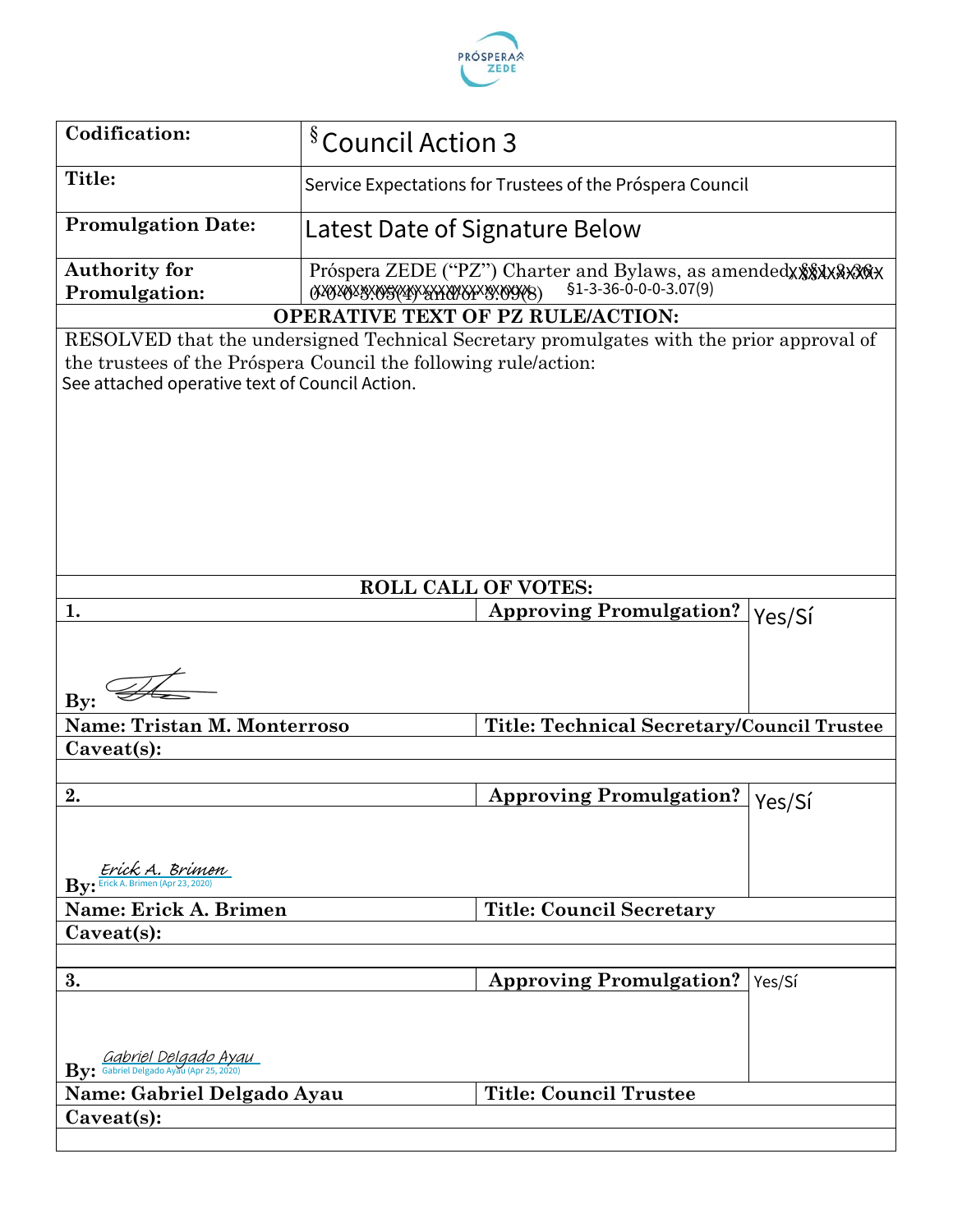

| <b>Codification:</b>                                                                                                                                                                                                                                      | <sup>§</sup> Council Action 3 |                                                           |        |
|-----------------------------------------------------------------------------------------------------------------------------------------------------------------------------------------------------------------------------------------------------------|-------------------------------|-----------------------------------------------------------|--------|
| Title:                                                                                                                                                                                                                                                    |                               |                                                           |        |
|                                                                                                                                                                                                                                                           |                               | Service Expectations for Trustees of the Próspera Council |        |
| <b>Promulgation Date:</b>                                                                                                                                                                                                                                 |                               | Latest Date of Signature Below                            |        |
| <b>Authority for</b>                                                                                                                                                                                                                                      |                               |                                                           |        |
| Promulgation:                                                                                                                                                                                                                                             |                               | $$1-3-36-0-0-0-3.07(9)$                                   |        |
| <b>OPERATIVE TEXT OF PZ RULE/ACTION:</b><br>RESOLVED that the undersigned Technical Secretary promulgates with the prior approval of<br>the trustees of the Próspera Council the following rule/action:<br>See attached operative text of Council Action. |                               |                                                           |        |
|                                                                                                                                                                                                                                                           |                               | <b>ROLL CALL OF VOTES:</b>                                |        |
| 1.                                                                                                                                                                                                                                                        |                               | <b>Approving Promulgation?</b>                            | Yes/Sí |
| $\mathbf{By:}$                                                                                                                                                                                                                                            |                               |                                                           |        |
| <b>Name: Tristan M. Monterroso</b>                                                                                                                                                                                                                        |                               | Title: Technical Secretary/Council Trustee                |        |
| $Caveat(s)$ :                                                                                                                                                                                                                                             |                               |                                                           |        |
|                                                                                                                                                                                                                                                           |                               |                                                           |        |
| 2.<br><u>Erick A. Brimen</u><br>$\mathbf{By:}$ Erick A. Brimen (Apr 23, 2020)                                                                                                                                                                             |                               | <b>Approving Promulgation?</b>                            | Yes/Sí |
| Name: Erick A. Brimen                                                                                                                                                                                                                                     |                               | <b>Title: Council Secretary</b>                           |        |
| $Caveat(s)$ :                                                                                                                                                                                                                                             |                               |                                                           |        |
|                                                                                                                                                                                                                                                           |                               |                                                           |        |
| 3.<br><b>By:</b> Gabriel Delgado Ayau                                                                                                                                                                                                                     |                               | <b>Approving Promulgation?</b>                            | Yes/Sí |
| Name: Gabriel Delgado Ayau                                                                                                                                                                                                                                |                               | <b>Title: Council Trustee</b>                             |        |
| Caveat(s):                                                                                                                                                                                                                                                |                               |                                                           |        |
|                                                                                                                                                                                                                                                           |                               |                                                           |        |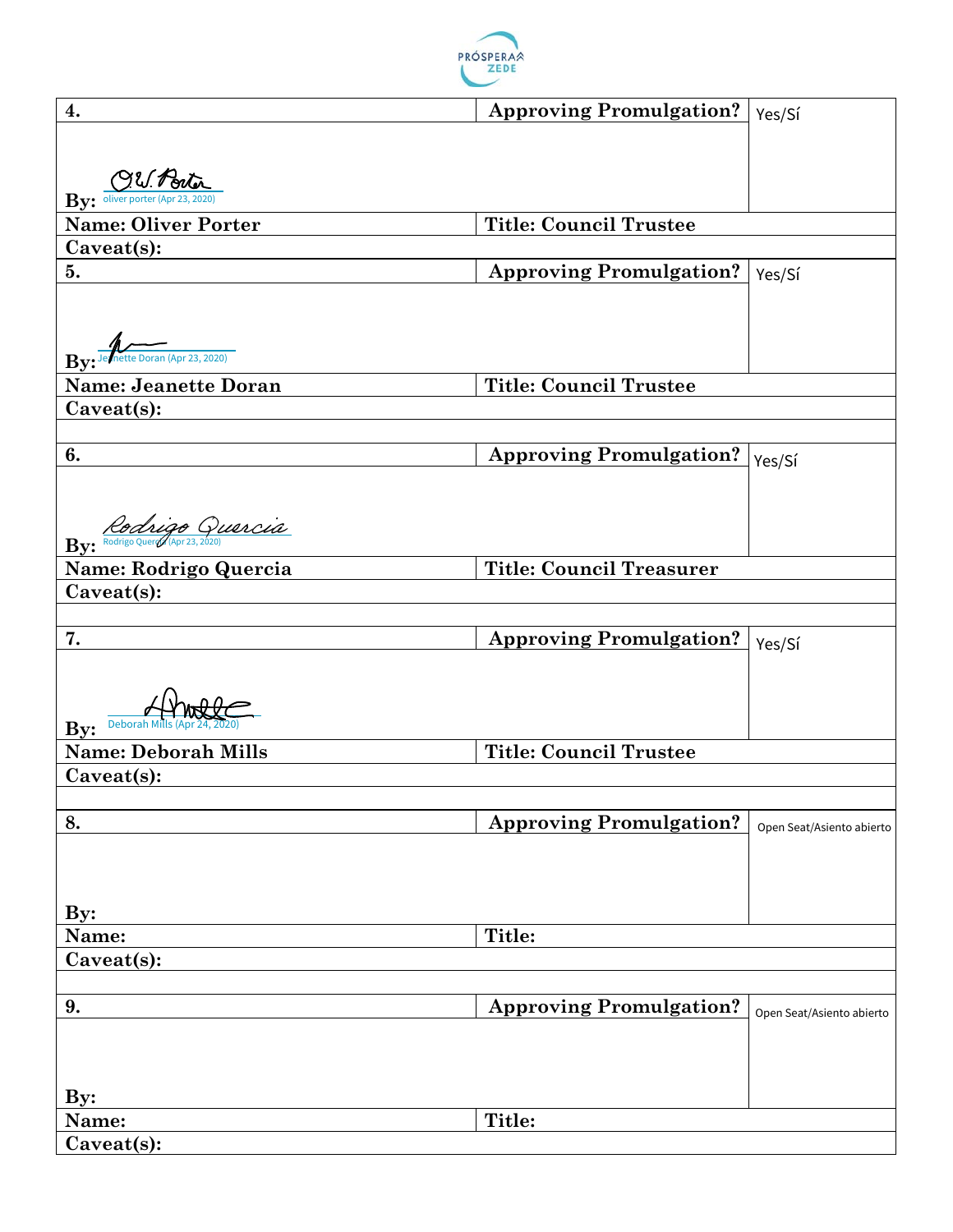

| 4.                                                                            | <b>Approving Promulgation?</b>  | Yes/Sí                    |
|-------------------------------------------------------------------------------|---------------------------------|---------------------------|
|                                                                               |                                 |                           |
|                                                                               |                                 |                           |
| $By: \frac{\text{QU.} \cdot \text{Bul}}{\text{oliver porter (Apr 23, 2020)}}$ |                                 |                           |
|                                                                               |                                 |                           |
| <b>Name: Oliver Porter</b>                                                    | <b>Title: Council Trustee</b>   |                           |
| Caveat(s):                                                                    |                                 |                           |
| 5.                                                                            | <b>Approving Promulgation?</b>  | Yes/Sí                    |
|                                                                               |                                 |                           |
|                                                                               |                                 |                           |
| Jernette Doran (Apr 23, 2020)                                                 |                                 |                           |
| Bv                                                                            |                                 |                           |
| <b>Name: Jeanette Doran</b>                                                   | <b>Title: Council Trustee</b>   |                           |
| Caveat(s):                                                                    |                                 |                           |
|                                                                               |                                 |                           |
| 6.                                                                            | <b>Approving Promulgation?</b>  | Yes/Sí                    |
|                                                                               |                                 |                           |
|                                                                               |                                 |                           |
| By: Rochigo Quercia                                                           |                                 |                           |
| Name: Rodrigo Quercia                                                         | <b>Title: Council Treasurer</b> |                           |
| Caveat(s):                                                                    |                                 |                           |
|                                                                               |                                 |                           |
| 7.                                                                            | <b>Approving Promulgation?</b>  |                           |
|                                                                               |                                 | Yes/Sí                    |
|                                                                               |                                 |                           |
|                                                                               |                                 |                           |
| <b>Deborah Mills (Apr</b><br>By:                                              |                                 |                           |
| <b>Name: Deborah Mills</b>                                                    | <b>Title: Council Trustee</b>   |                           |
| $Caveat(s)$ :                                                                 |                                 |                           |
|                                                                               |                                 |                           |
| 8.                                                                            | <b>Approving Promulgation?</b>  | Open Seat/Asiento abierto |
|                                                                               |                                 |                           |
|                                                                               |                                 |                           |
|                                                                               |                                 |                           |
| $\mathbf{By:}$                                                                |                                 |                           |
| Name:                                                                         | <b>Title:</b>                   |                           |
| Caveat(s):                                                                    |                                 |                           |
|                                                                               |                                 |                           |
| 9.                                                                            | <b>Approving Promulgation?</b>  | Open Seat/Asiento abierto |
|                                                                               |                                 |                           |
|                                                                               |                                 |                           |
|                                                                               |                                 |                           |
| $\mathbf{By:}$                                                                |                                 |                           |
| Name:                                                                         | Title:                          |                           |
| Caveat(s):                                                                    |                                 |                           |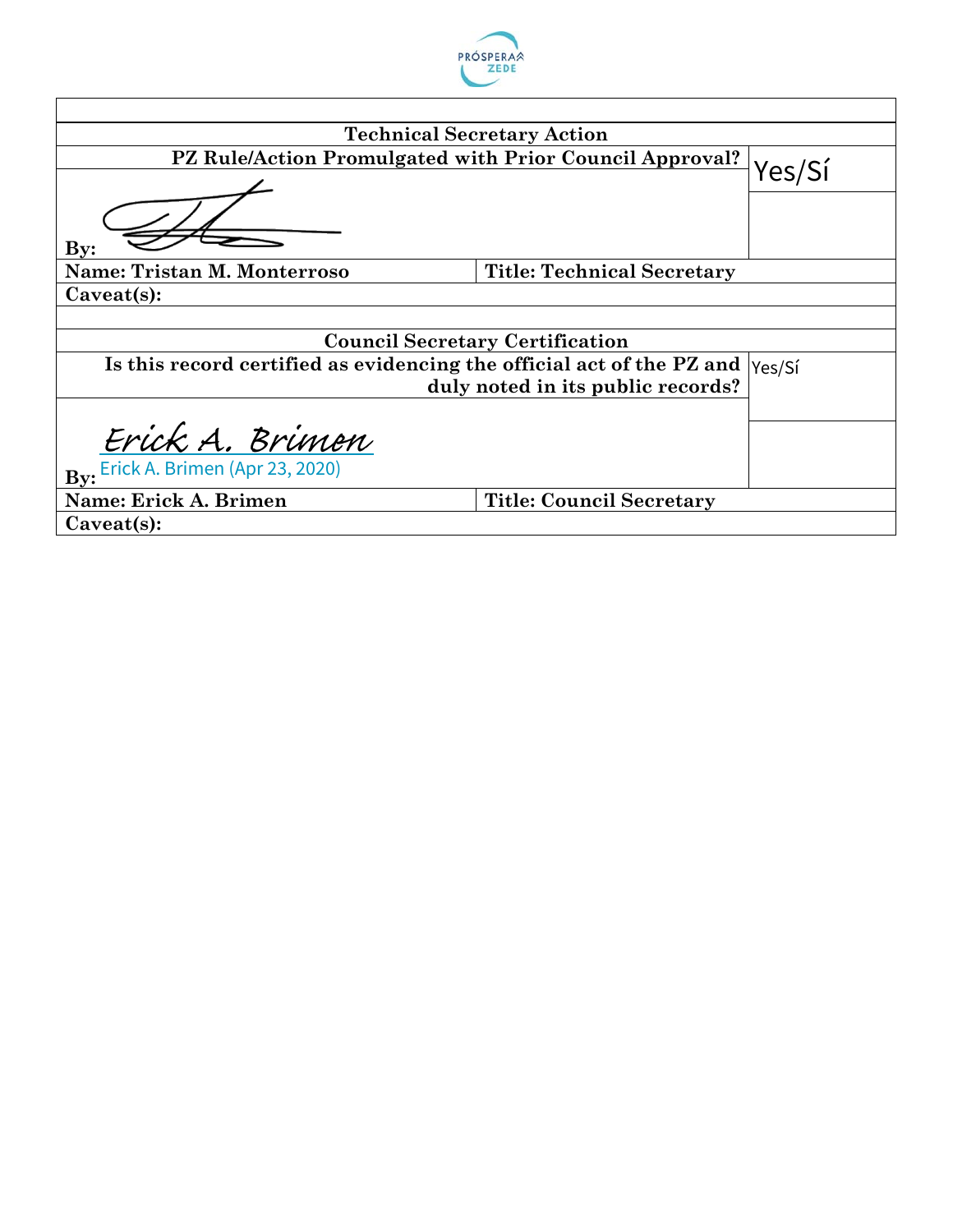

|                                                                       | <b>Technical Secretary Action</b>      |        |
|-----------------------------------------------------------------------|----------------------------------------|--------|
| PZ Rule/Action Promulgated with Prior Council Approval?               |                                        | Yes/Sí |
|                                                                       |                                        |        |
|                                                                       |                                        |        |
| $\mathbf{By:}$                                                        |                                        |        |
| Name: Tristan M. Monterroso                                           | <b>Title: Technical Secretary</b>      |        |
| $Caveat(s)$ :                                                         |                                        |        |
|                                                                       |                                        |        |
|                                                                       | <b>Council Secretary Certification</b> |        |
| Is this record certified as evidencing the official act of the PZ and |                                        | Yes/Sí |
|                                                                       | duly noted in its public records?      |        |
|                                                                       |                                        |        |
| Erick A. Brimen                                                       |                                        |        |
| By: Erick A. Brimen (Apr 23, 2020)                                    |                                        |        |
| Name: Erick A. Brimen                                                 | <b>Title: Council Secretary</b>        |        |
| $Caveat(s)$ :                                                         |                                        |        |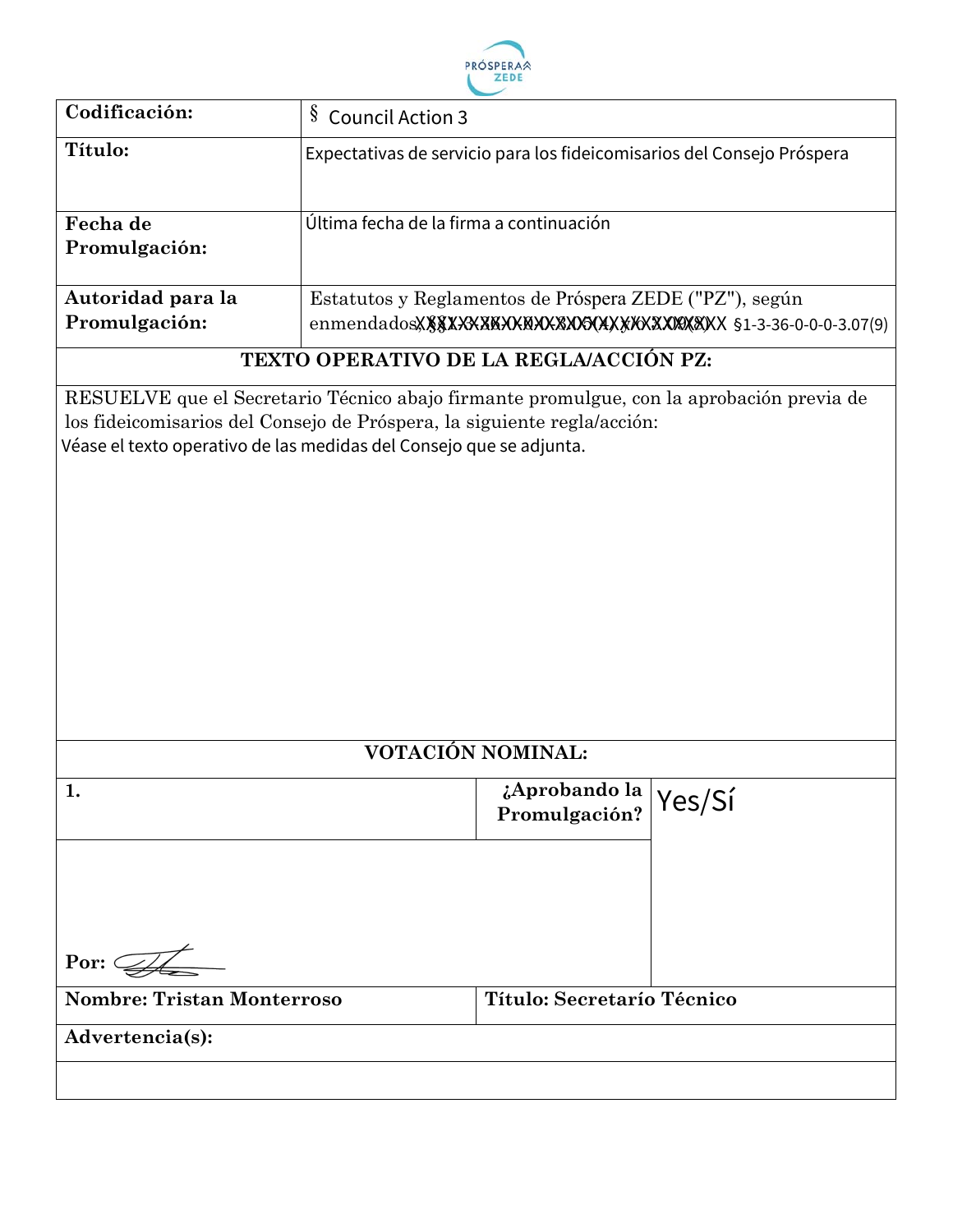

| Codificación:                                                             | $\S$<br><b>Council Action 3</b>                                                                                                                                                                                                            |                                   |
|---------------------------------------------------------------------------|--------------------------------------------------------------------------------------------------------------------------------------------------------------------------------------------------------------------------------------------|-----------------------------------|
| Título:                                                                   | Expectativas de servicio para los fideicomisarios del Consejo Próspera                                                                                                                                                                     |                                   |
| Fecha de<br>Promulgación:                                                 | Última fecha de la firma a continuación                                                                                                                                                                                                    |                                   |
| Autoridad para la<br>Promulgación:                                        | Estatutos y Reglamentos de Próspera ZEDE ("PZ"), según                                                                                                                                                                                     |                                   |
|                                                                           | TEXTO OPERATIVO DE LA REGLA/ACCIÓN PZ:                                                                                                                                                                                                     |                                   |
|                                                                           | RESUELVE que el Secretario Técnico abajo firmante promulgue, con la aprobación previa de<br>los fideicomisarios del Consejo de Próspera, la siguiente regla/acción:<br>Véase el texto operativo de las medidas del Consejo que se adjunta. |                                   |
| VOTACIÓN NOMINAL:                                                         |                                                                                                                                                                                                                                            |                                   |
| $\mathbf{1}$                                                              | Promulgación?                                                                                                                                                                                                                              | $\frac{1}{6}$ Aprobando la Ves/Si |
| Por: $\mathbb{Z}$<br><b>Nombre: Tristan Monterroso</b><br>Advertencia(s): | Título: Secretarío Técnico                                                                                                                                                                                                                 |                                   |
|                                                                           |                                                                                                                                                                                                                                            |                                   |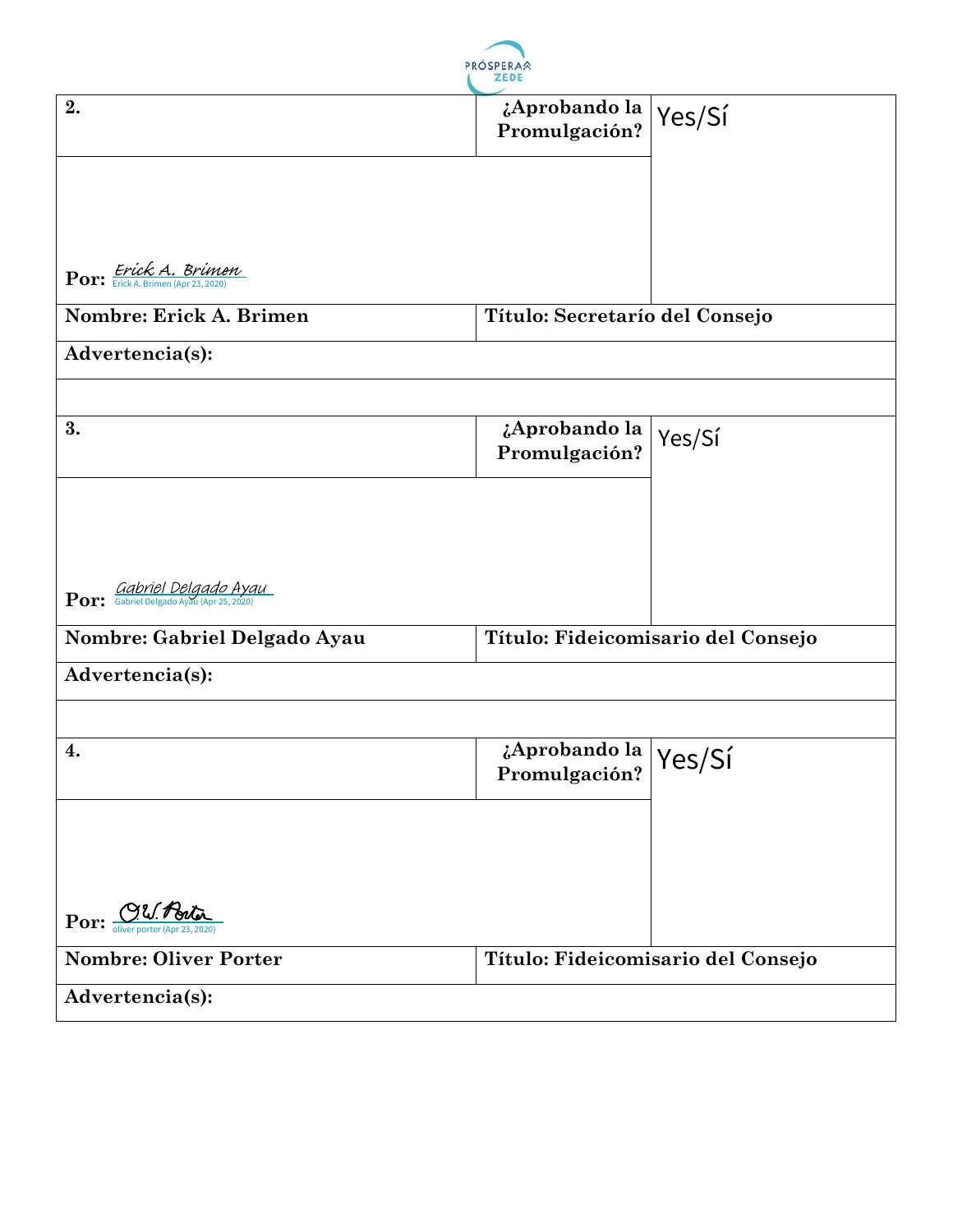

| 2.                               | ¿Aprobando la  <br>Promulgación?                   | Yes/Sí                             |
|----------------------------------|----------------------------------------------------|------------------------------------|
|                                  |                                                    |                                    |
| Por: Erick A. Brimen             |                                                    |                                    |
|                                  |                                                    |                                    |
| Nombre: Erick A. Brimen          | Título: Secretarío del Consejo                     |                                    |
| Advertencia(s):                  |                                                    |                                    |
|                                  |                                                    |                                    |
| 3.                               | ¿Aprobando la<br>Promulgación?                     | Yes/Sí                             |
|                                  |                                                    |                                    |
|                                  |                                                    |                                    |
| <b>Por:</b> Gabriel Delgado Ayau |                                                    |                                    |
| Nombre: Gabriel Delgado Ayau     |                                                    | Título: Fideicomisario del Consejo |
| Advertencia(s):                  |                                                    |                                    |
|                                  |                                                    |                                    |
| 4.                               | $\frac{1}{6}$ Aprobando la Yes/Si<br>Promulgación? |                                    |
|                                  |                                                    |                                    |
|                                  |                                                    |                                    |
| Por: OU. Porto                   |                                                    |                                    |
| <b>Nombre: Oliver Porter</b>     |                                                    | Título: Fideicomisario del Consejo |
| Advertencia(s):                  |                                                    |                                    |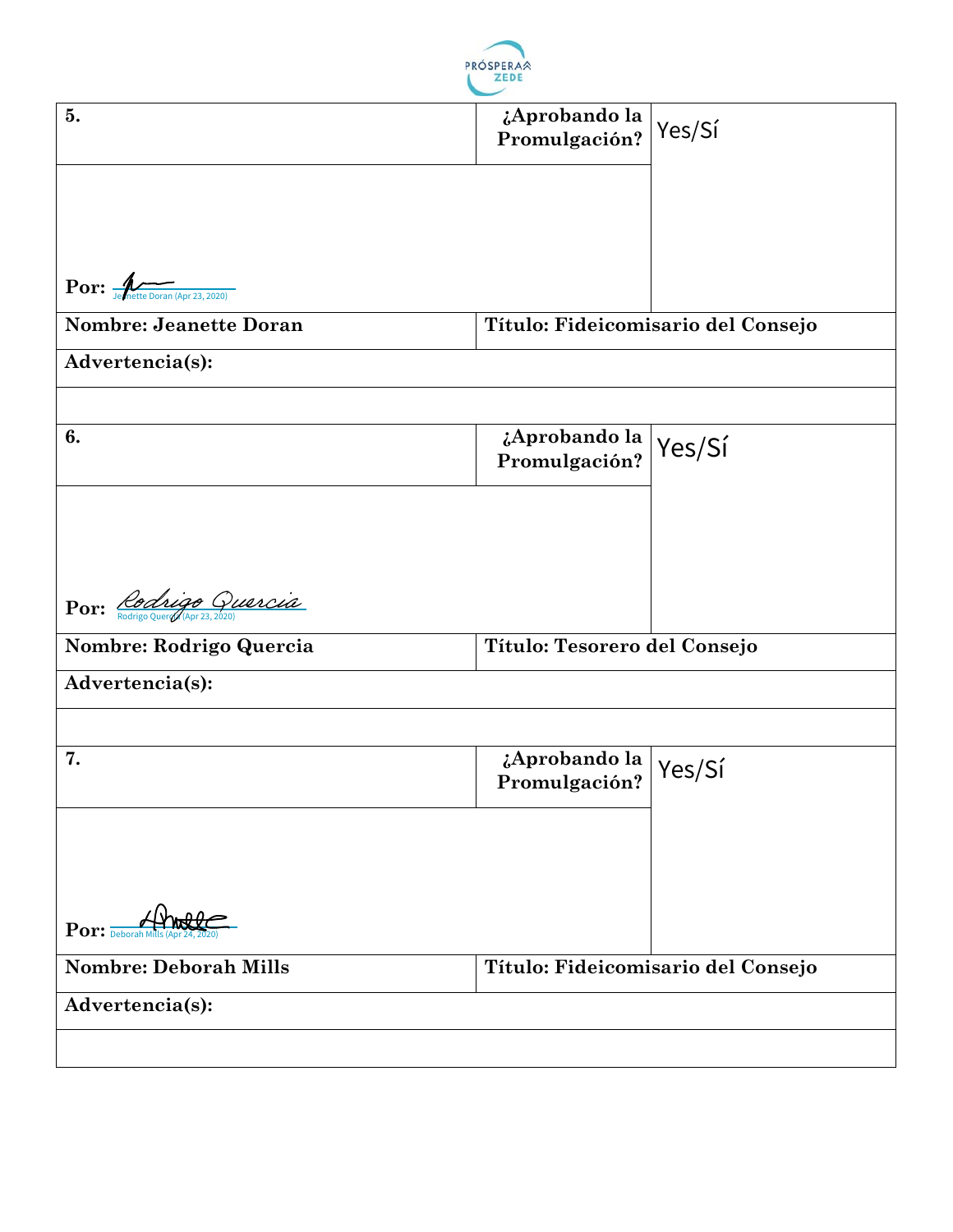

| 5.                                                                                                         | ¿Aprobando la<br>Promulgación?                     | Yes/Sí                             |
|------------------------------------------------------------------------------------------------------------|----------------------------------------------------|------------------------------------|
|                                                                                                            |                                                    |                                    |
|                                                                                                            |                                                    |                                    |
|                                                                                                            |                                                    |                                    |
|                                                                                                            |                                                    |                                    |
| $\mathbf{Por:} \overbrace{\mathbf{per:} \atop \mathbf{J} \in \mathbf{Inette }\text{Doran (Apr 23, 2020)}}$ |                                                    |                                    |
| <b>Nombre: Jeanette Doran</b>                                                                              |                                                    | Título: Fideicomisario del Consejo |
| Advertencia(s):                                                                                            |                                                    |                                    |
|                                                                                                            |                                                    |                                    |
| 6.                                                                                                         | ¿Aprobando la                                      | Yes/Sí                             |
|                                                                                                            | Promulgación?                                      |                                    |
|                                                                                                            |                                                    |                                    |
|                                                                                                            |                                                    |                                    |
|                                                                                                            |                                                    |                                    |
| Por: Rodrigo Quercia                                                                                       |                                                    |                                    |
| Nombre: Rodrigo Quercia                                                                                    | Título: Tesorero del Consejo                       |                                    |
| Advertencia(s):                                                                                            |                                                    |                                    |
|                                                                                                            |                                                    |                                    |
| 7.                                                                                                         | $\frac{1}{6}$ Aprobando la Yes/Sí<br>Promulgación? |                                    |
|                                                                                                            |                                                    |                                    |
|                                                                                                            |                                                    |                                    |
|                                                                                                            |                                                    |                                    |
|                                                                                                            |                                                    |                                    |
| $Por: \frac{p}{Deborahh}$                                                                                  |                                                    |                                    |
| <b>Nombre: Deborah Mills</b>                                                                               |                                                    | Título: Fideicomisario del Consejo |
| Advertencia(s):                                                                                            |                                                    |                                    |
|                                                                                                            |                                                    |                                    |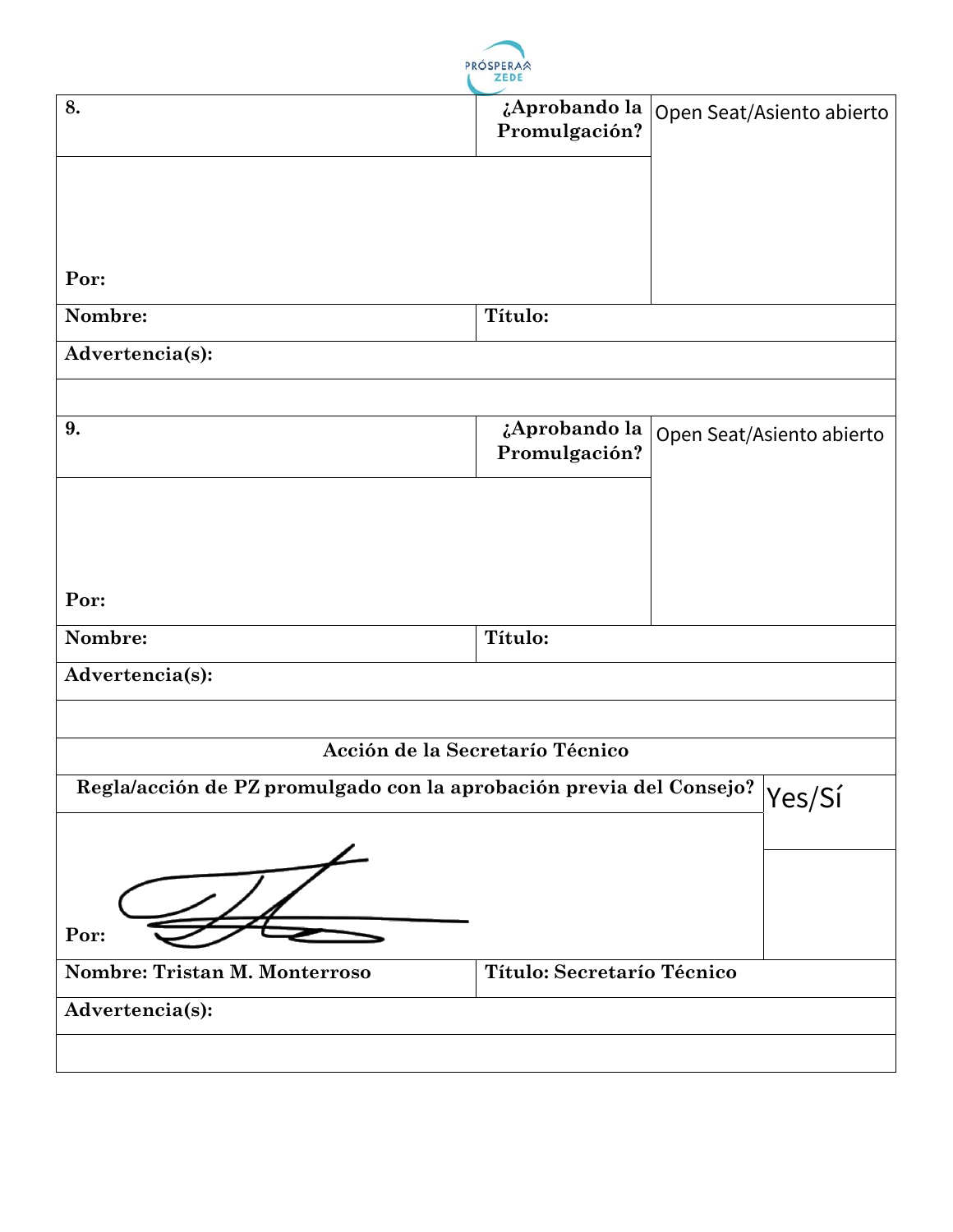

|                                                                     | and the first face                                                                |                           |
|---------------------------------------------------------------------|-----------------------------------------------------------------------------------|---------------------------|
| 8.                                                                  | $\overline{a}$ <i>i</i> Aprobando la   Open Seat/Asiento abierto<br>Promulgación? |                           |
|                                                                     |                                                                                   |                           |
|                                                                     |                                                                                   |                           |
| Por:                                                                |                                                                                   |                           |
| Nombre:                                                             | Título:                                                                           |                           |
| Advertencia(s):                                                     |                                                                                   |                           |
|                                                                     |                                                                                   |                           |
| 9.                                                                  | ¿Aprobando la<br>Promulgación?                                                    | Open Seat/Asiento abierto |
|                                                                     |                                                                                   |                           |
|                                                                     |                                                                                   |                           |
|                                                                     |                                                                                   |                           |
| Por:                                                                |                                                                                   |                           |
| Nombre:                                                             | Título:                                                                           |                           |
| Advertencia(s):                                                     |                                                                                   |                           |
|                                                                     |                                                                                   |                           |
|                                                                     | Acción de la Secretarío Técnico                                                   |                           |
| Regla/acción de PZ promulgado con la aprobación previa del Consejo? |                                                                                   | $ {\rm Yes/Sf}$           |
|                                                                     |                                                                                   |                           |
|                                                                     |                                                                                   |                           |
| Por:                                                                |                                                                                   |                           |
| Nombre: Tristan M. Monterroso                                       | Título: Secretarío Técnico                                                        |                           |
| Advertencia(s):                                                     |                                                                                   |                           |
|                                                                     |                                                                                   |                           |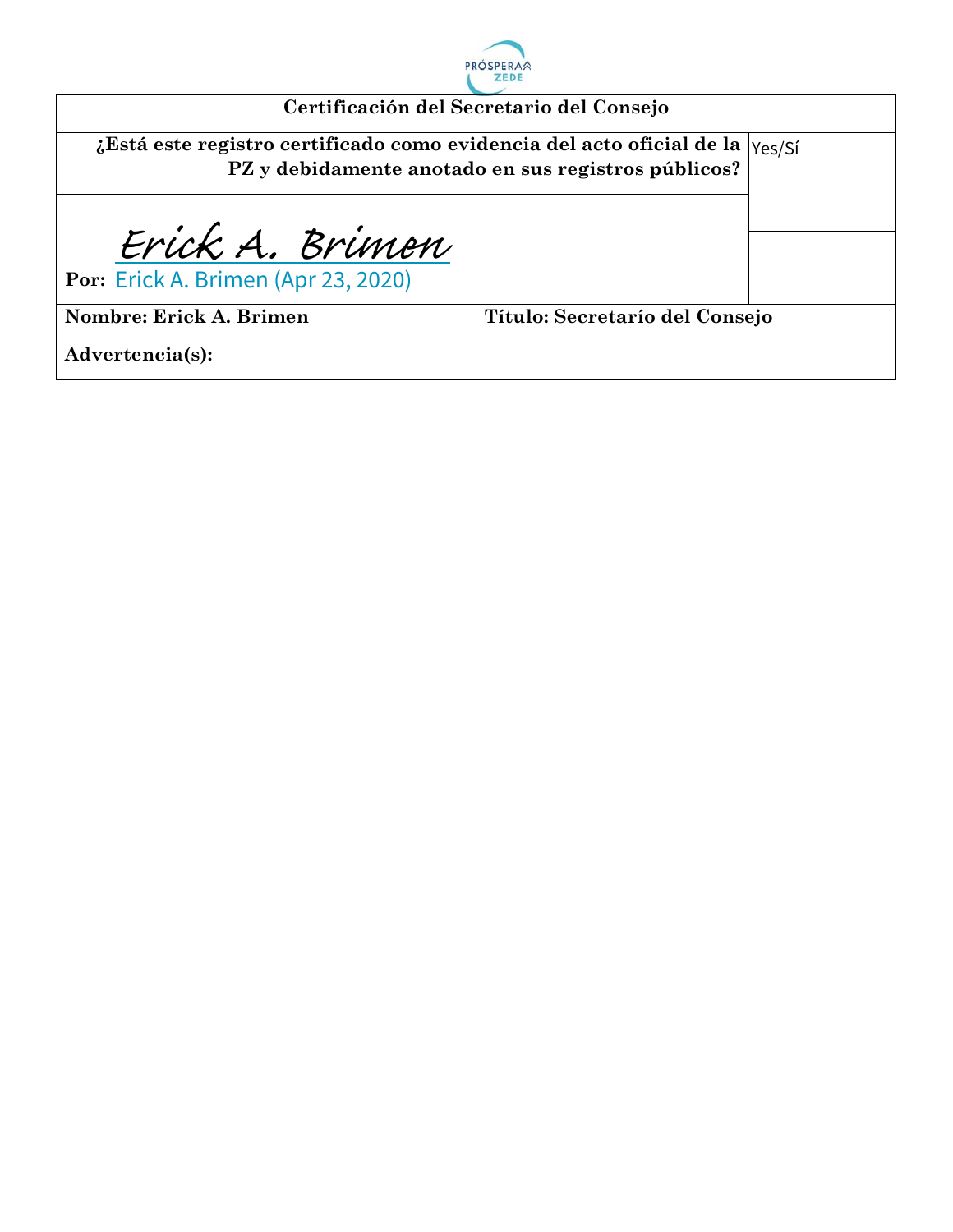

|                                                                               | Certificación del Secretario del Consejo            |  |
|-------------------------------------------------------------------------------|-----------------------------------------------------|--|
| ¿Está este registro certificado como evidencia del acto oficial de la  Yes/Sí | PZ y debidamente anotado en sus registros públicos? |  |
| Erick A. Brimen                                                               |                                                     |  |
| Por: Erick A. Brimen (Apr 23, 2020)                                           |                                                     |  |
| Nombre: Erick A. Brimen                                                       | Título: Secretarío del Consejo                      |  |
| Advertencia(s):                                                               |                                                     |  |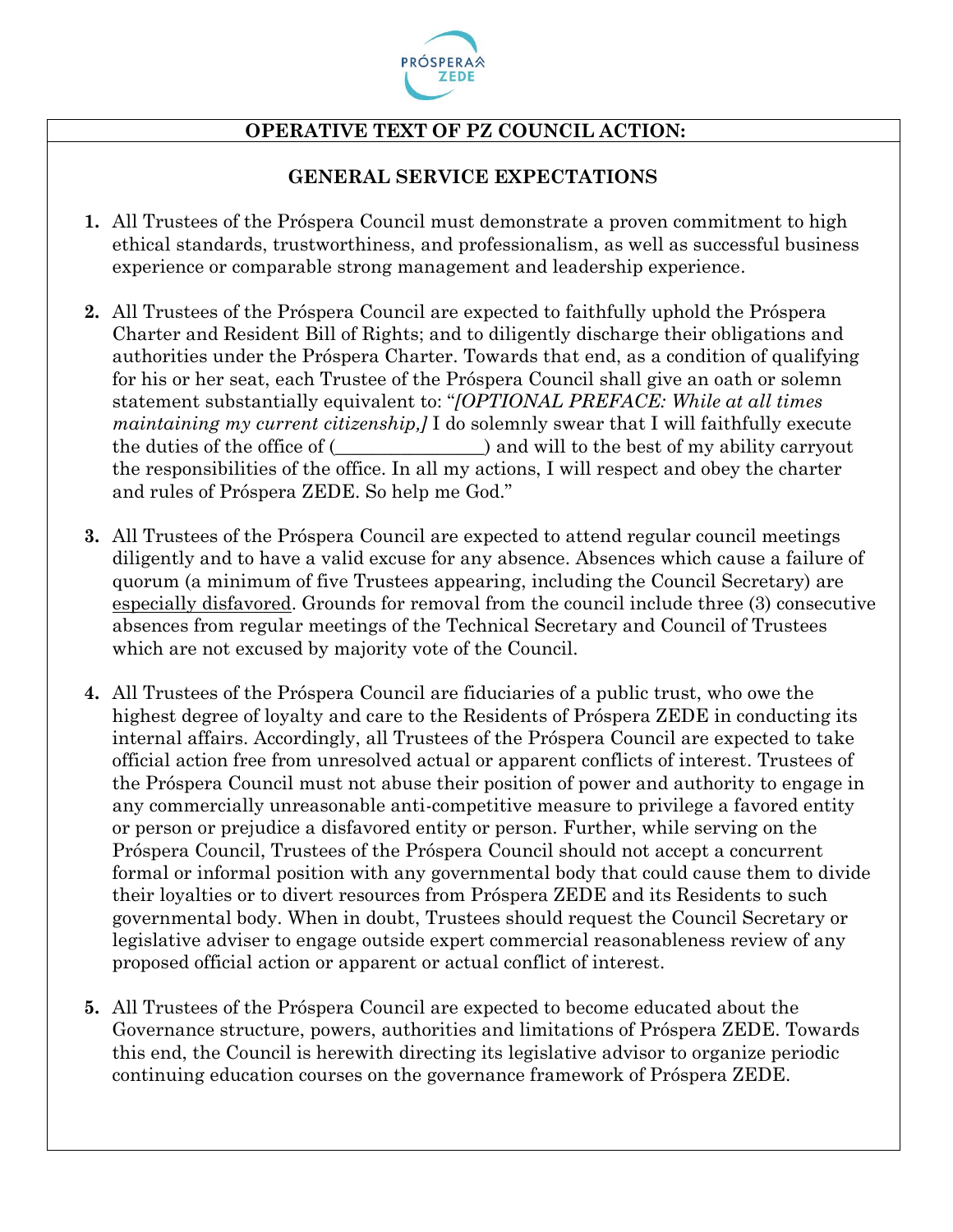

### **OPERATIVE TEXT OF PZ COUNCIL ACTION:**

#### **GENERAL SERVICE EXPECTATIONS**

- **1.** All Trustees of the Próspera Council must demonstrate a proven commitment to high ethical standards, trustworthiness, and professionalism, as well as successful business experience or comparable strong management and leadership experience.
- **2.** All Trustees of the Próspera Council are expected to faithfully uphold the Próspera Charter and Resident Bill of Rights; and to diligently discharge their obligations and authorities under the Próspera Charter. Towards that end, as a condition of qualifying for his or her seat, each Trustee of the Próspera Council shall give an oath or solemn statement substantially equivalent to: "*[OPTIONAL PREFACE: While at all times maintaining my current citizenship*, *I* do solemnly swear that I will faithfully execute the duties of the office of (  $\qquad \qquad$  ) and will to the best of my ability carryout the responsibilities of the office. In all my actions, I will respect and obey the charter and rules of Próspera ZEDE. So help me God."
- **3.** All Trustees of the Próspera Council are expected to attend regular council meetings diligently and to have a valid excuse for any absence. Absences which cause a failure of quorum (a minimum of five Trustees appearing, including the Council Secretary) are especially disfavored. Grounds for removal from the council include three (3) consecutive absences from regular meetings of the Technical Secretary and Council of Trustees which are not excused by majority vote of the Council.
- **4.** All Trustees of the Próspera Council are fiduciaries of a public trust, who owe the highest degree of loyalty and care to the Residents of Próspera ZEDE in conducting its internal affairs. Accordingly, all Trustees of the Próspera Council are expected to take official action free from unresolved actual or apparent conflicts of interest. Trustees of the Próspera Council must not abuse their position of power and authority to engage in any commercially unreasonable anti-competitive measure to privilege a favored entity or person or prejudice a disfavored entity or person. Further, while serving on the Próspera Council, Trustees of the Próspera Council should not accept a concurrent formal or informal position with any governmental body that could cause them to divide their loyalties or to divert resources from Próspera ZEDE and its Residents to such governmental body. When in doubt, Trustees should request the Council Secretary or legislative adviser to engage outside expert commercial reasonableness review of any proposed official action or apparent or actual conflict of interest.
- **5.** All Trustees of the Próspera Council are expected to become educated about the Governance structure, powers, authorities and limitations of Próspera ZEDE. Towards this end, the Council is herewith directing its legislative advisor to organize periodic continuing education courses on the governance framework of Próspera ZEDE.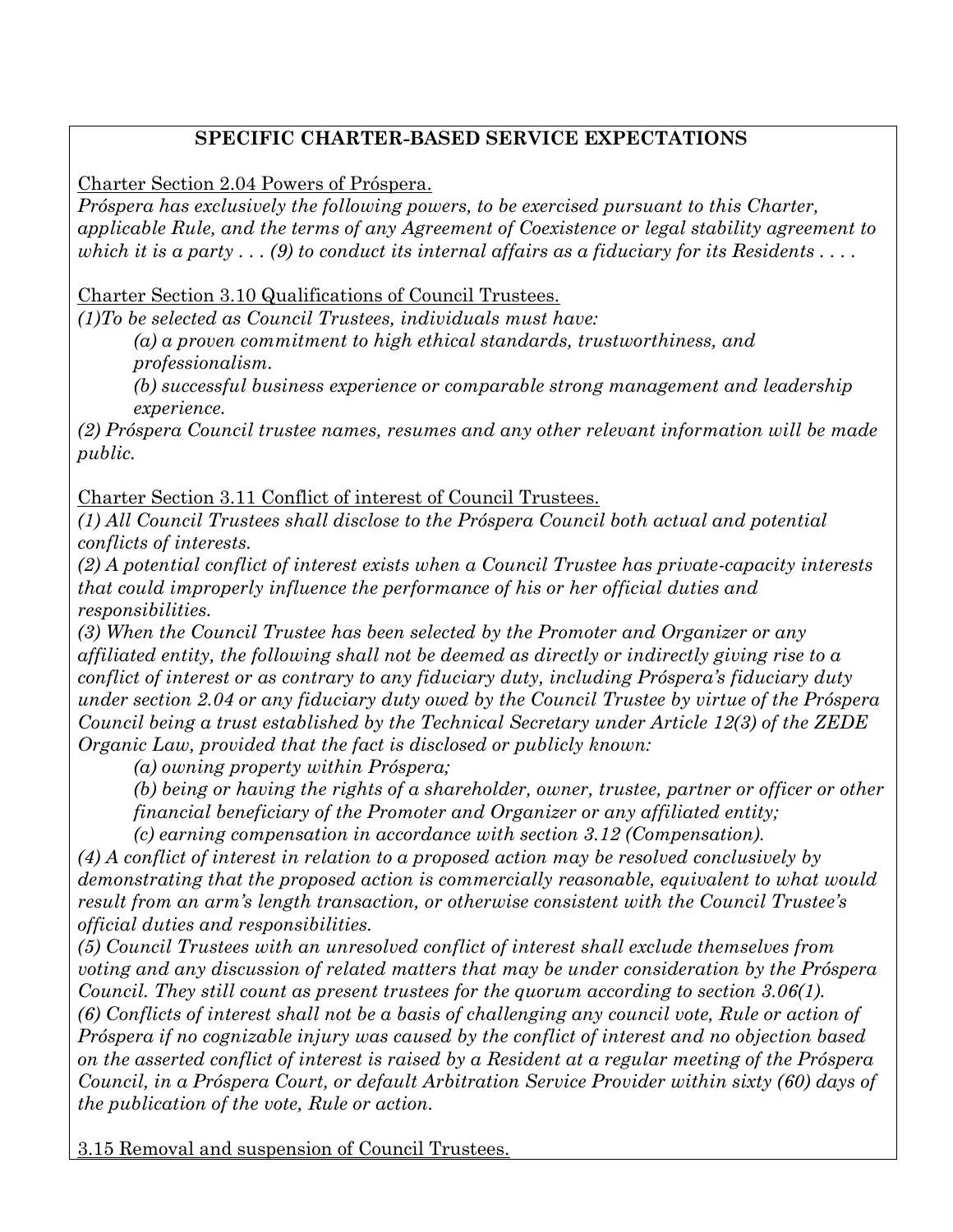#### **SPECIFIC CHARTER-BASED SERVICE EXPECTATIONS**

Charter Section 2.04 Powers of Próspera.

*Próspera has exclusively the following powers, to be exercised pursuant to this Charter, applicable Rule, and the terms of any Agreement of Coexistence or legal stability agreement to which it is a party . . . (9) to conduct its internal affairs as a fiduciary for its Residents . . . .*

Charter Section 3.10 Qualifications of Council Trustees.

*(1)To be selected as Council Trustees, individuals must have:*

*(a) a proven commitment to high ethical standards, trustworthiness, and professionalism.*

*(b) successful business experience or comparable strong management and leadership experience.*

*(2) Próspera Council trustee names, resumes and any other relevant information will be made public.*

Charter Section 3.11 Conflict of interest of Council Trustees.

*(1) All Council Trustees shall disclose to the Próspera Council both actual and potential conflicts of interests.*

*(2) A potential conflict of interest exists when a Council Trustee has private-capacity interests that could improperly influence the performance of his or her official duties and responsibilities.*

*(3) When the Council Trustee has been selected by the Promoter and Organizer or any affiliated entity, the following shall not be deemed as directly or indirectly giving rise to a conflict of interest or as contrary to any fiduciary duty, including Próspera's fiduciary duty under section 2.04 or any fiduciary duty owed by the Council Trustee by virtue of the Próspera Council being a trust established by the Technical Secretary under Article 12(3) of the ZEDE Organic Law, provided that the fact is disclosed or publicly known:*

*(a) owning property within Próspera;*

*(b) being or having the rights of a shareholder, owner, trustee, partner or officer or other financial beneficiary of the Promoter and Organizer or any affiliated entity;*

*(c) earning compensation in accordance with section 3.12 (Compensation).*

*(4) A conflict of interest in relation to a proposed action may be resolved conclusively by demonstrating that the proposed action is commercially reasonable, equivalent to what would result from an arm's length transaction, or otherwise consistent with the Council Trustee's official duties and responsibilities.*

*(5) Council Trustees with an unresolved conflict of interest shall exclude themselves from voting and any discussion of related matters that may be under consideration by the Próspera Council. They still count as present trustees for the quorum according to section 3.06(1). (6) Conflicts of interest shall not be a basis of challenging any council vote, Rule or action of Próspera if no cognizable injury was caused by the conflict of interest and no objection based on the asserted conflict of interest is raised by a Resident at a regular meeting of the Próspera Council, in a Próspera Court, or default Arbitration Service Provider within sixty (60) days of the publication of the vote, Rule or action.*

3.15 Removal and suspension of Council Trustees.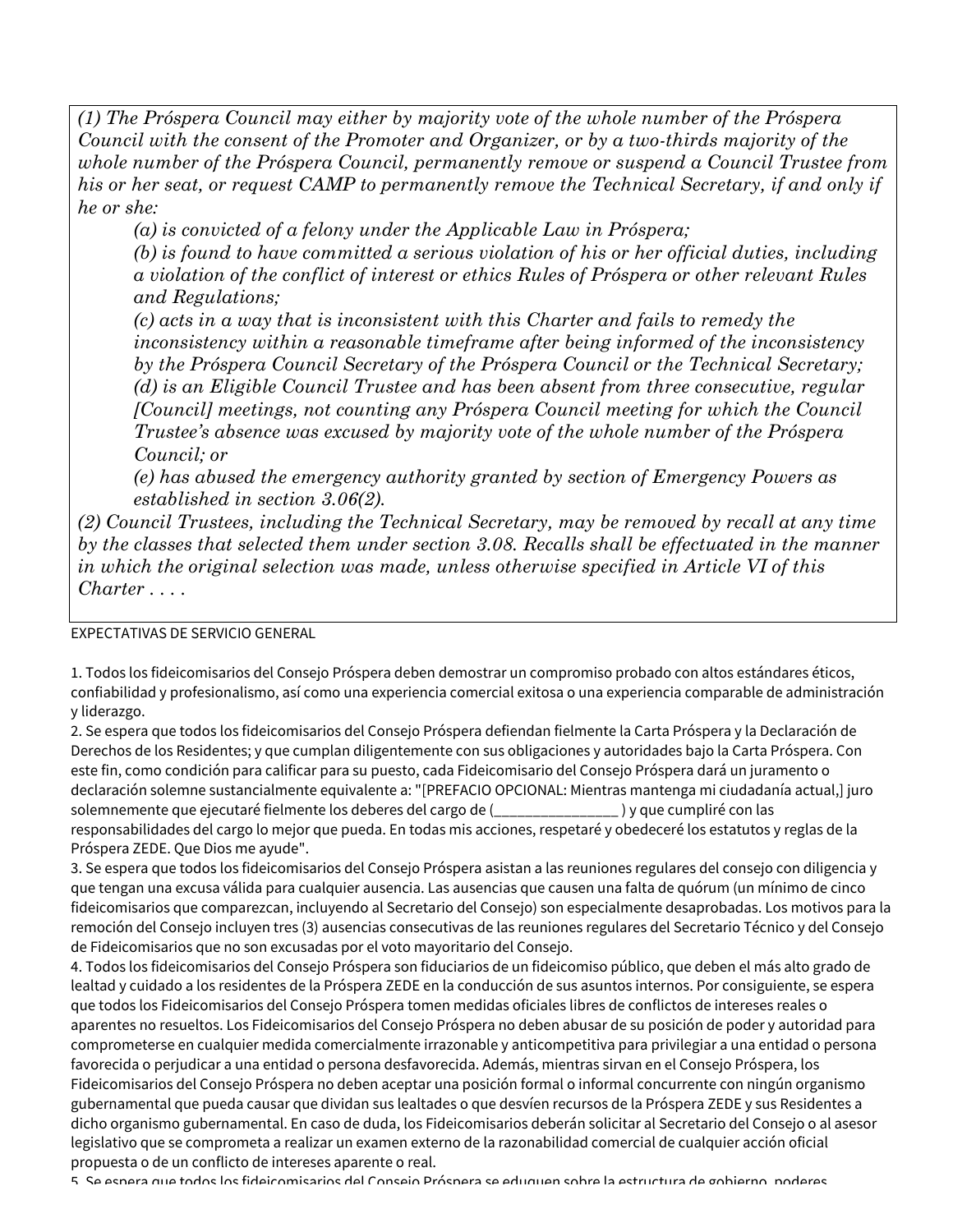*(1) The Próspera Council may either by majority vote of the whole number of the Próspera Council with the consent of the Promoter and Organizer, or by a two-thirds majority of the whole number of the Próspera Council, permanently remove or suspend a Council Trustee from his or her seat, or request CAMP to permanently remove the Technical Secretary, if and only if he or she:*

*(a) is convicted of a felony under the Applicable Law in Próspera;*

*(b) is found to have committed a serious violation of his or her official duties, including a violation of the conflict of interest or ethics Rules of Próspera or other relevant Rules and Regulations;*

*(c) acts in a way that is inconsistent with this Charter and fails to remedy the inconsistency within a reasonable timeframe after being informed of the inconsistency by the Próspera Council Secretary of the Próspera Council or the Technical Secretary; (d) is an Eligible Council Trustee and has been absent from three consecutive, regular [Council] meetings, not counting any Próspera Council meeting for which the Council Trustee's absence was excused by majority vote of the whole number of the Próspera Council; or*

*(e) has abused the emergency authority granted by section of Emergency Powers as established in section 3.06(2).*

*(2) Council Trustees, including the Technical Secretary, may be removed by recall at any time by the classes that selected them under section 3.08. Recalls shall be effectuated in the manner in which the original selection was made, unless otherwise specified in Article VI of this Charter . . . .*

EXPECTATIVAS DE SERVICIO GENERAL

1. Todos los fideicomisarios del Consejo Próspera deben demostrar un compromiso probado con altos estándares éticos, confiabilidad y profesionalismo, así como una experiencia comercial exitosa o una experiencia comparable de administración y liderazgo.

2. Se espera que todos los fideicomisarios del Consejo Próspera defiendan fielmente la Carta Próspera y la Declaración de Derechos de los Residentes; y que cumplan diligentemente con sus obligaciones y autoridades bajo la Carta Próspera. Con este fin, como condición para calificar para su puesto, cada Fideicomisario del Consejo Próspera dará un juramento o declaración solemne sustancialmente equivalente a: "[PREFACIO OPCIONAL: Mientras mantenga mi ciudadanía actual,] juro solemnemente que ejecutaré fielmente los deberes del cargo de (\_\_\_\_\_\_\_\_\_\_\_\_\_\_\_\_ ) y que cumpliré con las responsabilidades del cargo lo mejor que pueda. En todas mis acciones, respetaré y obedeceré los estatutos y reglas de la Próspera ZEDE. Que Dios me ayude".

3. Se espera que todos los fideicomisarios del Consejo Próspera asistan a las reuniones regulares del consejo con diligencia y que tengan una excusa válida para cualquier ausencia. Las ausencias que causen una falta de quórum (un mínimo de cinco fideicomisarios que comparezcan, incluyendo al Secretario del Consejo) son especialmente desaprobadas. Los motivos para la remoción del Consejo incluyen tres (3) ausencias consecutivas de las reuniones regulares del Secretario Técnico y del Consejo de Fideicomisarios que no son excusadas por el voto mayoritario del Consejo.

4. Todos los fideicomisarios del Consejo Próspera son fiduciarios de un fideicomiso público, que deben el más alto grado de lealtad y cuidado a los residentes de la Próspera ZEDE en la conducción de sus asuntos internos. Por consiguiente, se espera que todos los Fideicomisarios del Consejo Próspera tomen medidas oficiales libres de conflictos de intereses reales o aparentes no resueltos. Los Fideicomisarios del Consejo Próspera no deben abusar de su posición de poder y autoridad para comprometerse en cualquier medida comercialmente irrazonable y anticompetitiva para privilegiar a una entidad o persona favorecida o perjudicar a una entidad o persona desfavorecida. Además, mientras sirvan en el Consejo Próspera, los Fideicomisarios del Consejo Próspera no deben aceptar una posición formal o informal concurrente con ningún organismo gubernamental que pueda causar que dividan sus lealtades o que desvíen recursos de la Próspera ZEDE y sus Residentes a dicho organismo gubernamental. En caso de duda, los Fideicomisarios deberán solicitar al Secretario del Consejo o al asesor legislativo que se comprometa a realizar un examen externo de la razonabilidad comercial de cualquier acción oficial propuesta o de un conflicto de intereses aparente o real.

5. Se espera que todos los fideicomisarios del Consejo Próspera se eduquen sobre la estructura de gobierno, poderes,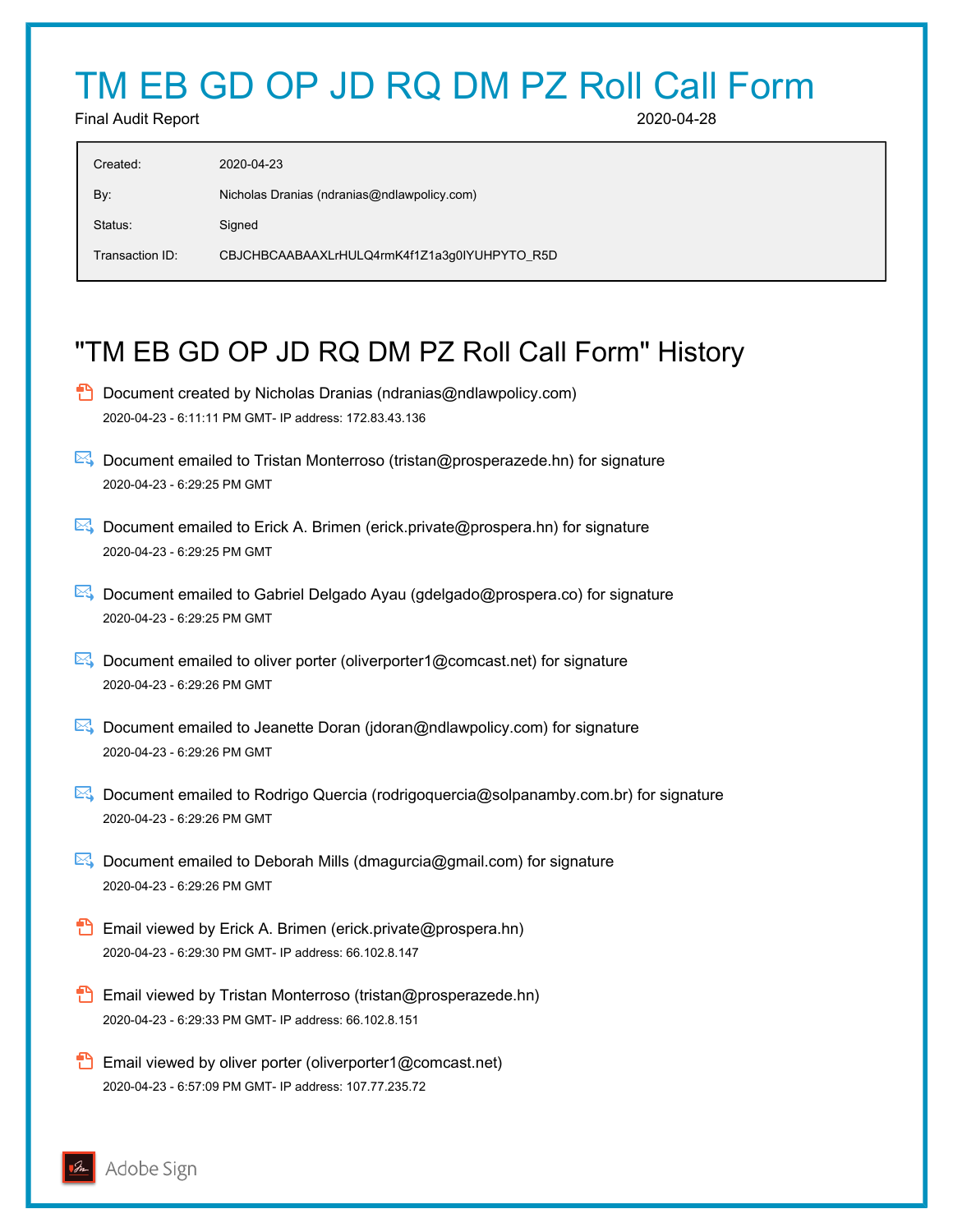# TM EB GD OP JD RQ DM PZ Roll Call Form

Final Audit Report 2020-04-28

| Created:        | 2020-04-23                                   |
|-----------------|----------------------------------------------|
| By:             | Nicholas Dranias (ndranias@ndlawpolicy.com)  |
| Status:         | Signed                                       |
| Transaction ID: | CBJCHBCAABAAXLrHULQ4rmK4f1Z1a3g0IYUHPYTO_R5D |

## "TM EB GD OP JD RQ DM PZ Roll Call Form" History

- **D** Document created by Nicholas Dranias (ndranias@ndlawpolicy.com) 2020-04-23 - 6:11:11 PM GMT- IP address: 172.83.43.136
- **E** Document emailed to Tristan Monterroso (tristan@prosperazede.hn) for signature 2020-04-23 - 6:29:25 PM GMT
- Document emailed to Erick A. Brimen (erick.private@prospera.hn) for signature 2020-04-23 - 6:29:25 PM GMT
- Document emailed to Gabriel Delgado Ayau (gdelgado@prospera.co) for signature 2020-04-23 - 6:29:25 PM GMT
- **Document emailed to oliver porter (oliverporter1@comcast.net) for signature** 2020-04-23 - 6:29:26 PM GMT
- **E**. Document emailed to Jeanette Doran (jdoran@ndlawpolicy.com) for signature 2020-04-23 - 6:29:26 PM GMT
- Document emailed to Rodrigo Quercia (rodrigoquercia@solpanamby.com.br) for signature 2020-04-23 - 6:29:26 PM GMT
- Document emailed to Deborah Mills (dmagurcia@gmail.com) for signature 2020-04-23 - 6:29:26 PM GMT
- **Email viewed by Erick A. Brimen (erick.private@prospera.hn)** 2020-04-23 - 6:29:30 PM GMT- IP address: 66.102.8.147
- **Email viewed by Tristan Monterroso (tristan@prosperazede.hn)** 2020-04-23 - 6:29:33 PM GMT- IP address: 66.102.8.151
- **Email viewed by oliver porter (oliverporter1@comcast.net)** 2020-04-23 - 6:57:09 PM GMT- IP address: 107.77.235.72